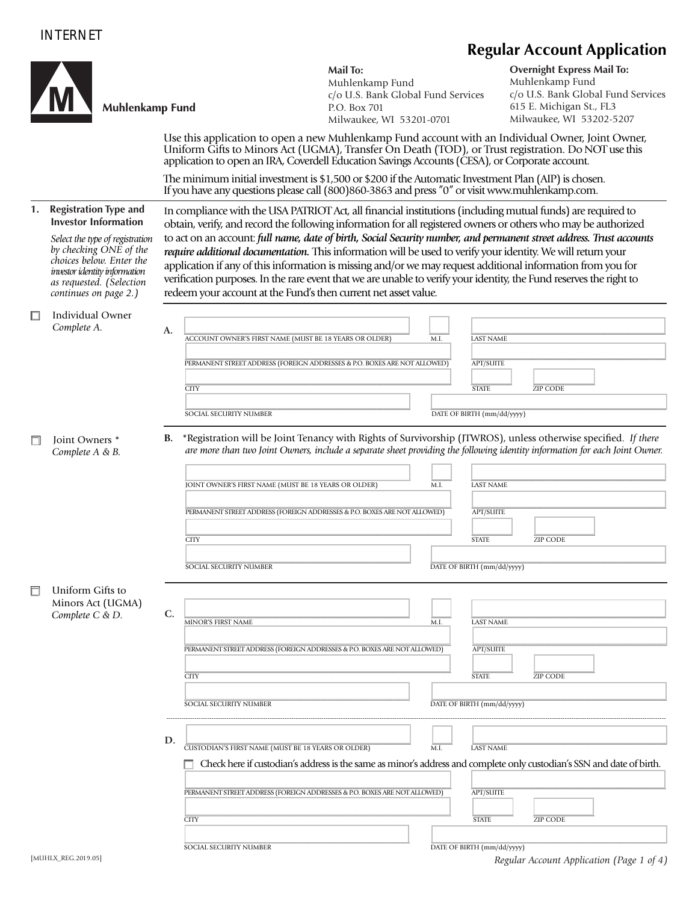## INTERNET

## **Regular Account Application Mail To: Overnight Express Mail To:** Muhlenkamp Fund Muhlenkamp Fund c/o U.S. Bank Global Fund Services c/o U.S. Bank Global Fund Services Muhlenkamp Fund 615 E. Michigan St., FL3 P.O. Box 701 Milwaukee, WI 53202-5207 Milwaukee, WI 53201-0701 Use this application to open a new Muhlenkamp Fund account with an Individual Owner, Joint Owner, Uniform Gifts to Minors Act (UGMA), Transfer On Death (TOD), or Trust registration. Do NOT use this application to open an IRA, Coverdell Education Savings Accounts (CESA), or Corporate account. The minimum initial investment is \$1,500 or \$200 if the Automatic Investment Plan (AIP) is chosen. If you have any questions please call (800)860-3863 and press "0" or visit www.muhlenkamp.com. **1. Registration Type and**  In compliance with the USA PATRIOT Act, all financial institutions (including mutual funds) are required to  **Investor Information** obtain, verify, and record the following information for all registered owners or others who may be authorized *Select the type of registration*  to act on an account: *full name, date of birth, Social Security number, and permanent street address. Trust accounts by checking ONE of the require additional documentation.* This information will be used to verify your identity. We will return your  *choices below. Enter the* application if any of this information is missing and/or we may request additional information from you for  *investor identity information*  verification purposes. In the rare event that we are unable to verify your identity, the Fund reserves the right to  *as requested. (Selection continues on page 2.)*  redeem your account at the Fund's then current net asset value.  $\Box$  Individual Owner *Complete A.* A. <u>Locount owner's first name (must be 18 years or older)</u> M.I. Last name \_\_\_\_\_\_\_\_\_\_\_\_\_\_\_\_\_\_\_\_\_\_\_\_\_\_\_\_\_\_\_\_\_\_\_\_\_\_\_\_\_\_\_\_\_\_\_\_\_\_\_\_\_\_\_\_\_\_\_\_\_\_\_\_\_\_\_\_\_\_\_\_\_\_\_\_\_\_ \_\_\_\_\_\_\_\_\_\_\_\_\_\_\_\_\_\_\_\_\_\_\_\_\_\_\_\_\_\_\_\_\_\_\_\_\_\_\_\_\_\_\_\_\_\_\_\_\_\_\_\_\_\_\_\_\_ PERMANENT STREET ADDRESS (FOREIGN ADDRESSES & P.O. BOXES ARE NOT ALLOWED) APT/SUITE \_\_\_\_\_\_\_\_\_\_\_\_\_\_\_\_\_\_\_\_\_\_\_\_\_\_\_\_\_\_\_\_\_\_\_\_\_\_\_\_\_\_\_\_\_\_\_\_\_\_\_\_\_\_\_\_\_\_\_\_\_\_\_\_\_\_\_\_\_\_\_\_\_\_\_\_\_\_ \_\_\_\_\_\_\_\_\_\_\_\_ \_\_\_\_\_\_\_\_\_\_\_\_\_\_\_\_\_\_ CITY STATE ZIP CODE \_\_\_\_\_\_\_\_\_\_\_\_\_\_\_\_\_\_\_\_\_\_\_\_\_\_\_\_\_\_\_\_\_\_\_\_\_\_\_\_\_\_\_\_\_\_\_\_\_\_\_\_\_\_\_\_\_\_\_\_\_\_\_\_\_\_ \_\_\_\_\_\_\_\_\_\_\_\_\_\_\_\_\_\_\_\_\_\_\_\_\_\_\_\_\_\_\_\_\_\_\_\_\_\_\_\_\_\_\_\_\_\_\_\_\_\_\_\_\_\_\_\_\_\_\_\_\_\_\_\_\_\_\_\_\_ SOCIAL SECURITY NUMBER DATE OF BIRTH (mm/dd/yyyy) **B.** *\**Registration will be Joint Tenancy with Rights of Survivorship (JTWROS), unless otherwise specified. *If there*  Joint Owners \* *Complete A & B. are more than two Joint Owners, include a separate sheet providing the following identity information for each Joint Owner.* **\_\_\_\_\_\_\_\_\_\_\_\_\_\_\_\_\_\_\_\_\_\_\_\_\_\_\_\_\_\_\_\_\_\_\_\_\_\_\_\_\_\_\_\_\_\_\_\_\_\_\_\_\_\_\_\_\_\_\_\_\_\_\_\_\_\_ \_\_\_\_\_\_ \_\_\_\_\_\_\_\_\_\_\_\_\_\_\_\_\_\_\_\_\_\_\_\_\_\_\_\_\_\_\_\_\_\_\_\_\_\_\_\_\_\_\_\_\_\_\_\_\_\_\_\_\_\_\_\_\_** JOINT OWNER'S FIRST NAME (MUST BE 18 YEARS OR OLDER) M.I. LAST NAME \_\_\_\_\_\_\_\_\_\_\_\_\_\_\_\_\_\_\_\_\_\_\_\_\_\_\_\_\_\_\_\_\_\_\_\_\_\_\_\_\_\_\_\_\_\_\_\_\_\_\_\_\_\_\_\_\_\_\_\_\_\_\_\_\_\_\_\_\_\_\_\_\_\_\_\_\_\_ \_\_\_\_\_\_\_\_\_\_\_\_\_\_\_\_\_\_\_\_\_\_\_\_\_\_\_\_\_\_\_\_\_\_\_\_\_\_\_\_\_\_\_\_\_\_\_\_\_\_\_\_\_\_\_\_\_ PERMANENT STREET ADDRESS (FOREIGN ADDRESSES & P.O. BOXES ARE NOT ALLOWED) APT/SUITE \_\_\_\_\_\_\_\_\_\_\_\_\_\_\_\_\_\_\_\_\_\_\_\_\_\_\_\_\_\_\_\_\_\_\_\_\_\_\_\_\_\_\_\_\_\_\_\_\_\_\_\_\_\_\_\_\_\_\_\_\_\_\_\_\_\_\_\_\_\_\_\_\_\_\_\_\_\_ \_\_\_\_\_\_\_\_\_\_\_\_ \_\_\_\_\_\_\_\_\_\_\_\_\_\_\_\_\_\_ CITY STATE ZIP CODE \_\_\_\_\_\_\_\_\_\_\_\_\_\_\_\_\_\_\_\_\_\_\_\_\_\_\_\_\_\_\_\_\_\_\_\_\_\_\_\_\_\_\_\_\_\_\_\_\_\_\_\_\_\_\_\_\_\_\_\_\_\_\_\_\_\_ \_\_\_\_\_\_\_\_\_\_\_\_\_\_\_\_\_\_\_\_\_\_\_\_\_\_\_\_\_\_\_\_\_\_\_\_\_\_\_\_\_\_\_\_\_\_\_\_\_\_\_\_\_\_\_\_\_\_\_\_\_\_\_\_\_\_\_\_\_ SOCIAL SECURITY NUMBER DATE OF BIRTH (mm/dd/yyyy)  $\Box$  Uniform Gifts to Minors Act (UGMA)  $Complete C & D.$   $C.$   $\frac{1}{MINOR'S FIRST NAME}$  \_\_\_\_\_\_\_\_\_\_\_\_\_\_\_\_\_\_\_\_\_\_\_\_\_\_\_\_\_\_\_\_\_\_\_\_\_\_\_\_\_\_\_\_\_\_\_\_\_\_\_\_\_\_\_\_\_\_\_\_\_\_\_\_\_\_\_\_\_\_\_\_\_\_\_\_\_\_ \_\_\_\_\_\_\_\_\_\_\_\_\_\_\_\_\_\_\_\_\_\_\_\_\_\_\_\_\_\_\_\_\_\_\_\_\_\_\_\_\_\_\_\_\_\_\_\_\_\_\_\_\_\_\_\_\_ PERMANENT STREET ADDRESS (FOREIGN ADDRESSES & P.O. BOXES ARE NOT ALLOWED) APT/SUITE \_\_\_\_\_\_\_\_\_\_\_\_\_\_\_\_\_\_\_\_\_\_\_\_\_\_\_\_\_\_\_\_\_\_\_\_\_\_\_\_\_\_\_\_\_\_\_\_\_\_\_\_\_\_\_\_\_\_\_\_\_\_\_\_\_\_\_\_\_\_\_\_\_\_\_\_\_\_ \_\_\_\_\_\_\_\_\_\_\_\_ \_\_\_\_\_\_\_\_\_\_\_\_\_\_\_\_\_\_ CITY STATE ZIP CODE \_\_\_\_\_\_\_\_\_\_\_\_\_\_\_\_\_\_\_\_\_\_\_\_\_\_\_\_\_\_\_\_\_\_\_\_\_\_\_\_\_\_\_\_\_\_\_\_\_\_\_\_\_\_\_\_\_\_\_\_\_\_\_\_\_\_ \_\_\_\_\_\_\_\_\_\_\_\_\_\_\_\_\_\_\_\_\_\_\_\_\_\_\_\_\_\_\_\_\_\_\_\_\_\_\_\_\_\_\_\_\_\_\_\_\_\_\_\_\_\_\_\_\_\_\_\_\_\_\_\_\_\_\_\_\_ SOCIAL SECURITY NUMBER DATE OF BIRTH  $\overline{DME}$  OF BIRTH  $\overline{(mm/dd/yyyy)}$  ---------------------------------------------------------------------------------------------------------------------------------------------------------------------------------------------------------------------------------------- **D.** <u>Custodian's first name (must be 18 years or older) and the same and the last name</u>  $\Box$  Check here if custodian's address is the same as minor's address and complete only custodian's SSN and date of birth. \_\_\_\_\_\_\_\_\_\_\_\_\_\_\_\_\_\_\_\_\_\_\_\_\_\_\_\_\_\_\_\_\_\_\_\_\_\_\_\_\_\_\_\_\_\_\_\_\_\_\_\_\_\_\_\_\_\_\_\_\_\_\_\_\_\_\_\_\_\_\_\_\_\_\_\_\_\_ \_\_\_\_\_\_\_\_\_\_\_\_\_\_\_\_\_\_\_\_\_\_\_\_\_\_\_\_\_\_\_\_\_\_\_\_\_\_\_\_\_\_\_\_\_\_\_\_\_\_\_\_\_\_\_\_\_ PERMANENT STREET ADDRESS (FOREIGN ADDRESSES & P.O. BOXES ARE NOT ALLOWED) APT/SUITE \_\_\_\_\_\_\_\_\_\_\_\_\_\_\_\_\_\_\_\_\_\_\_\_\_\_\_\_\_\_\_\_\_\_\_\_\_\_\_\_\_\_\_\_\_\_\_\_\_\_\_\_\_\_\_\_\_\_\_\_\_\_\_\_\_\_\_\_\_\_\_\_\_\_\_\_\_\_ \_\_\_\_\_\_\_\_\_\_\_\_ \_\_\_\_\_\_\_\_\_\_\_\_\_\_\_\_\_\_

CITY STATE ZIP CODE

 $\Box$  . The contract of the contract of the contract of the contract of the contract of the contract of the contract of the contract of the contract of the contract of the contract of the contract of the contract of the co SOCIAL SECURITY NUMBER DATE OF BIRTH  $\overline{DME}$  OF BIRTH  $\overline{(mm/dd/yyy)}$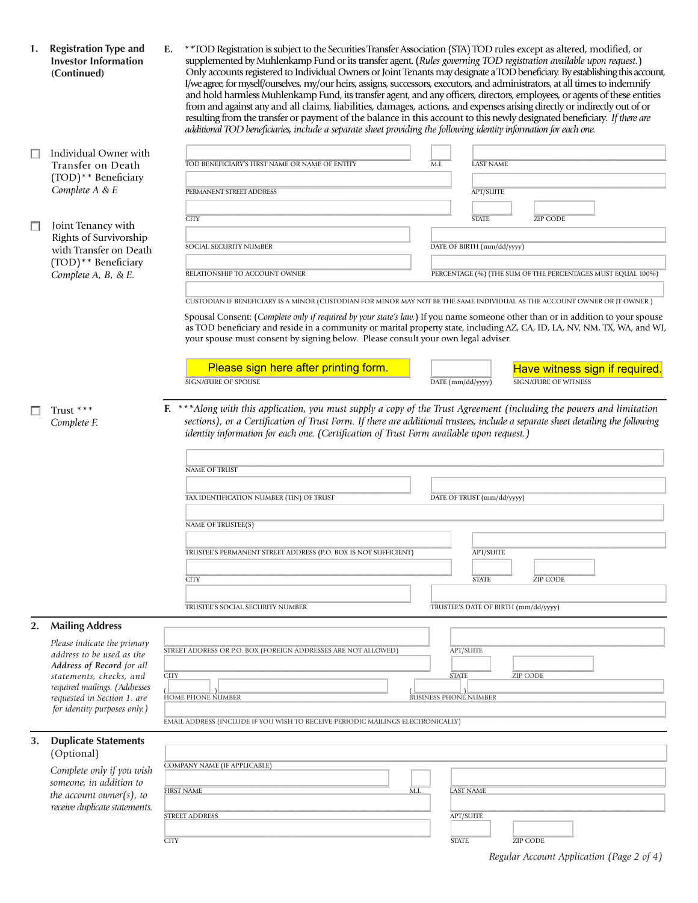| 1.     | <b>Registration Type and</b><br><b>Investor Information</b><br>(Continued)                                                                        | Е.          | ** TOD Registration is subject to the Securities Transfer Association (STA) TOD rules except as altered, modified, or<br>supplemented by Muhlenkamp Fund or its transfer agent. (Rules governing TOD registration available upon request.)<br>Only accounts registered to Individual Owners or Joint Tenants may designate a TOD beneficiary. By establishing this account,<br>I/we agree, for myself/ourselves, my/our heirs, assigns, successors, executors, and administrators, at all times to indemnify<br>and hold harmless Muhlenkamp Fund, its transfer agent, and any officers, directors, employees, or agents of these entities<br>from and against any and all claims, liabilities, damages, actions, and expenses arising directly or indirectly out of or<br>resulting from the transfer or payment of the balance in this account to this newly designated beneficiary. If there are<br>additional TOD beneficiaries, include a separate sheet providing the following identity information for each one. |  |                   |                            |                                                             |  |  |  |  |
|--------|---------------------------------------------------------------------------------------------------------------------------------------------------|-------------|--------------------------------------------------------------------------------------------------------------------------------------------------------------------------------------------------------------------------------------------------------------------------------------------------------------------------------------------------------------------------------------------------------------------------------------------------------------------------------------------------------------------------------------------------------------------------------------------------------------------------------------------------------------------------------------------------------------------------------------------------------------------------------------------------------------------------------------------------------------------------------------------------------------------------------------------------------------------------------------------------------------------------|--|-------------------|----------------------------|-------------------------------------------------------------|--|--|--|--|
| □      | Individual Owner with                                                                                                                             |             |                                                                                                                                                                                                                                                                                                                                                                                                                                                                                                                                                                                                                                                                                                                                                                                                                                                                                                                                                                                                                          |  |                   |                            |                                                             |  |  |  |  |
|        | Transfer on Death                                                                                                                                 |             | TOD BENEFICIARY'S FIRST NAME OR NAME OF ENTITY                                                                                                                                                                                                                                                                                                                                                                                                                                                                                                                                                                                                                                                                                                                                                                                                                                                                                                                                                                           |  | M.I.              | <b>LAST NAME</b>           |                                                             |  |  |  |  |
|        | (TOD)** Beneficiary<br>Complete A & E                                                                                                             |             | PERMANENT STREET ADDRESS                                                                                                                                                                                                                                                                                                                                                                                                                                                                                                                                                                                                                                                                                                                                                                                                                                                                                                                                                                                                 |  |                   | <b>APT/SUITE</b>           |                                                             |  |  |  |  |
|        |                                                                                                                                                   |             |                                                                                                                                                                                                                                                                                                                                                                                                                                                                                                                                                                                                                                                                                                                                                                                                                                                                                                                                                                                                                          |  |                   |                            |                                                             |  |  |  |  |
| $\Box$ | Joint Tenancy with                                                                                                                                |             | <b>CITY</b>                                                                                                                                                                                                                                                                                                                                                                                                                                                                                                                                                                                                                                                                                                                                                                                                                                                                                                                                                                                                              |  |                   | <b>STATE</b>               | ZIP CODE                                                    |  |  |  |  |
|        | Rights of Survivorship<br>with Transfer on Death<br>(TOD)** Beneficiary<br>Complete A, B, & E.                                                    |             | SOCIAL SECURITY NUMBER                                                                                                                                                                                                                                                                                                                                                                                                                                                                                                                                                                                                                                                                                                                                                                                                                                                                                                                                                                                                   |  |                   | DATE OF BIRTH (mm/dd/yyyy) |                                                             |  |  |  |  |
|        |                                                                                                                                                   |             |                                                                                                                                                                                                                                                                                                                                                                                                                                                                                                                                                                                                                                                                                                                                                                                                                                                                                                                                                                                                                          |  |                   |                            |                                                             |  |  |  |  |
|        |                                                                                                                                                   |             | RELATIONSHIP TO ACCOUNT OWNER                                                                                                                                                                                                                                                                                                                                                                                                                                                                                                                                                                                                                                                                                                                                                                                                                                                                                                                                                                                            |  |                   |                            | PERCENTAGE (%) (THE SUM OF THE PERCENTAGES MUST EQUAL 100%) |  |  |  |  |
|        |                                                                                                                                                   |             | CUSTODIAN IF BENEFICIARY IS A MINOR (CUSTODIAN FOR MINOR MAY NOT BE THE SAME INDIVIDUAL AS THE ACCOUNT OWNER OR JT OWNER.)                                                                                                                                                                                                                                                                                                                                                                                                                                                                                                                                                                                                                                                                                                                                                                                                                                                                                               |  |                   |                            |                                                             |  |  |  |  |
|        |                                                                                                                                                   |             | Spousal Consent: (Complete only if required by your state's law.) If you name someone other than or in addition to your spouse<br>as TOD beneficiary and reside in a community or marital property state, including AZ, CA, ID, LA, NV, NM, TX, WA, and WI,<br>your spouse must consent by signing below. Please consult your own legal adviser.                                                                                                                                                                                                                                                                                                                                                                                                                                                                                                                                                                                                                                                                         |  |                   |                            |                                                             |  |  |  |  |
|        |                                                                                                                                                   |             | Please sign here after printing form.                                                                                                                                                                                                                                                                                                                                                                                                                                                                                                                                                                                                                                                                                                                                                                                                                                                                                                                                                                                    |  |                   |                            | Have witness sign if required.                              |  |  |  |  |
|        |                                                                                                                                                   |             | <b>SIGNATURE OF SPOUSE</b>                                                                                                                                                                                                                                                                                                                                                                                                                                                                                                                                                                                                                                                                                                                                                                                                                                                                                                                                                                                               |  | DATE (mm/dd/yyyy) |                            | <b>SIGNATURE OF WITNESS</b>                                 |  |  |  |  |
|        |                                                                                                                                                   |             | identity information for each one. (Certification of Trust Form available upon request.)<br>NAME OF TRUST<br>TAX IDENTIFICATION NUMBER (TIN) OF TRUST                                                                                                                                                                                                                                                                                                                                                                                                                                                                                                                                                                                                                                                                                                                                                                                                                                                                    |  |                   | DATE OF TRUST (mm/dd/yyyy) |                                                             |  |  |  |  |
|        |                                                                                                                                                   |             | NAME OF TRUSTEE(S)                                                                                                                                                                                                                                                                                                                                                                                                                                                                                                                                                                                                                                                                                                                                                                                                                                                                                                                                                                                                       |  |                   |                            |                                                             |  |  |  |  |
|        |                                                                                                                                                   |             |                                                                                                                                                                                                                                                                                                                                                                                                                                                                                                                                                                                                                                                                                                                                                                                                                                                                                                                                                                                                                          |  |                   |                            |                                                             |  |  |  |  |
|        |                                                                                                                                                   |             | TRUSTEE'S PERMANENT STREET ADDRESS (P.O. BOX IS NOT SUFFICIENT)                                                                                                                                                                                                                                                                                                                                                                                                                                                                                                                                                                                                                                                                                                                                                                                                                                                                                                                                                          |  |                   | <b>APT/SUITE</b>           |                                                             |  |  |  |  |
|        |                                                                                                                                                   |             | <b>CITY</b>                                                                                                                                                                                                                                                                                                                                                                                                                                                                                                                                                                                                                                                                                                                                                                                                                                                                                                                                                                                                              |  |                   | <b>STATE</b>               | ZIP CODE                                                    |  |  |  |  |
|        |                                                                                                                                                   |             |                                                                                                                                                                                                                                                                                                                                                                                                                                                                                                                                                                                                                                                                                                                                                                                                                                                                                                                                                                                                                          |  |                   |                            |                                                             |  |  |  |  |
|        |                                                                                                                                                   |             | TRUSTEE'S SOCIAL SECURITY NUMBER                                                                                                                                                                                                                                                                                                                                                                                                                                                                                                                                                                                                                                                                                                                                                                                                                                                                                                                                                                                         |  |                   |                            | TRUSTEE'S DATE OF BIRTH (mm/dd/yyyy)                        |  |  |  |  |
| 2.     | <b>Mailing Address</b>                                                                                                                            |             |                                                                                                                                                                                                                                                                                                                                                                                                                                                                                                                                                                                                                                                                                                                                                                                                                                                                                                                                                                                                                          |  |                   |                            |                                                             |  |  |  |  |
|        | Please indicate the primary<br>address to be used as the<br>Address of Record for all<br>statements, checks, and<br>required mailings. (Addresses |             | STREET ADDRESS OR P.O. BOX (FOREIGN ADDRESSES ARE NOT ALLOWED)                                                                                                                                                                                                                                                                                                                                                                                                                                                                                                                                                                                                                                                                                                                                                                                                                                                                                                                                                           |  | <b>APT/SUITE</b>  |                            |                                                             |  |  |  |  |
|        |                                                                                                                                                   | <b>CITY</b> |                                                                                                                                                                                                                                                                                                                                                                                                                                                                                                                                                                                                                                                                                                                                                                                                                                                                                                                                                                                                                          |  | <b>STATE</b>      |                            | ZIP CODE                                                    |  |  |  |  |
|        |                                                                                                                                                   |             |                                                                                                                                                                                                                                                                                                                                                                                                                                                                                                                                                                                                                                                                                                                                                                                                                                                                                                                                                                                                                          |  |                   |                            |                                                             |  |  |  |  |
|        | requested in Section 1. are<br>for identity purposes only.)                                                                                       |             | <b>HOME PHONE NUMBER</b><br><b>BUSINESS PHONE NUMBER</b>                                                                                                                                                                                                                                                                                                                                                                                                                                                                                                                                                                                                                                                                                                                                                                                                                                                                                                                                                                 |  |                   |                            |                                                             |  |  |  |  |
|        |                                                                                                                                                   |             |                                                                                                                                                                                                                                                                                                                                                                                                                                                                                                                                                                                                                                                                                                                                                                                                                                                                                                                                                                                                                          |  |                   |                            |                                                             |  |  |  |  |
| 3.     |                                                                                                                                                   |             | EMAIL ADDRESS (INCLUDE IF YOU WISH TO RECEIVE PERIODIC MAILINGS ELECTRONICALLY)                                                                                                                                                                                                                                                                                                                                                                                                                                                                                                                                                                                                                                                                                                                                                                                                                                                                                                                                          |  |                   |                            |                                                             |  |  |  |  |
|        | <b>Duplicate Statements</b>                                                                                                                       |             |                                                                                                                                                                                                                                                                                                                                                                                                                                                                                                                                                                                                                                                                                                                                                                                                                                                                                                                                                                                                                          |  |                   |                            |                                                             |  |  |  |  |
|        | (Optional)                                                                                                                                        |             | COMPANY NAME (IF APPLICABLE)                                                                                                                                                                                                                                                                                                                                                                                                                                                                                                                                                                                                                                                                                                                                                                                                                                                                                                                                                                                             |  |                   |                            |                                                             |  |  |  |  |
|        | Complete only if you wish<br>someone, in addition to                                                                                              |             |                                                                                                                                                                                                                                                                                                                                                                                                                                                                                                                                                                                                                                                                                                                                                                                                                                                                                                                                                                                                                          |  |                   |                            |                                                             |  |  |  |  |
|        | the account owner(s), to                                                                                                                          |             | M.I.<br><b>FIRST NAME</b>                                                                                                                                                                                                                                                                                                                                                                                                                                                                                                                                                                                                                                                                                                                                                                                                                                                                                                                                                                                                |  |                   | <b>LAST NAME</b>           |                                                             |  |  |  |  |
|        | receive duplicate statements.                                                                                                                     |             | <b>STREET ADDRESS</b>                                                                                                                                                                                                                                                                                                                                                                                                                                                                                                                                                                                                                                                                                                                                                                                                                                                                                                                                                                                                    |  | <b>APT/SUITE</b>  |                            |                                                             |  |  |  |  |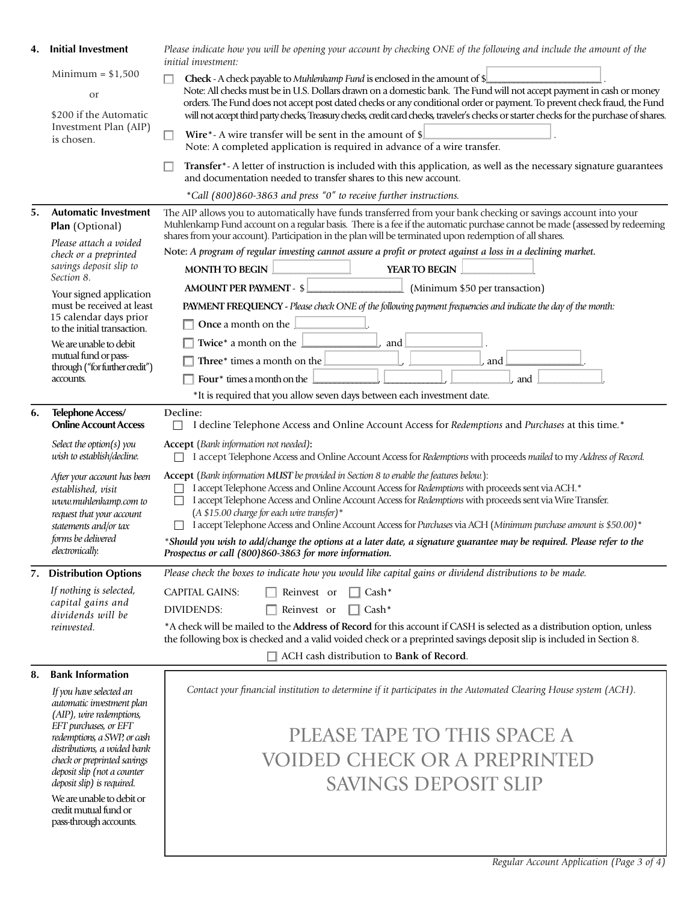| 4. | <b>Initial Investment</b>                                                                                                                                                 | Please indicate how you will be opening your account by checking ONE of the following and include the amount of the<br><i>initial investment:</i>                                                                                                                                                                                                                                                                                                                                                                                                                                                           |  |  |  |  |
|----|---------------------------------------------------------------------------------------------------------------------------------------------------------------------------|-------------------------------------------------------------------------------------------------------------------------------------------------------------------------------------------------------------------------------------------------------------------------------------------------------------------------------------------------------------------------------------------------------------------------------------------------------------------------------------------------------------------------------------------------------------------------------------------------------------|--|--|--|--|
|    | $Minimum = $1,500$<br>or<br>\$200 if the Automatic<br>Investment Plan (AIP)<br>is chosen.                                                                                 | Check - A check payable to Muhlenkamp Fund is enclosed in the amount of \$<br>Note: All checks must be in U.S. Dollars drawn on a domestic bank. The Fund will not accept payment in cash or money<br>orders. The Fund does not accept post dated checks or any conditional order or payment. To prevent check fraud, the Fund<br>will not accept third party checks, Treasury checks, credit card checks, traveler's checks or starter checks for the purchase of shares.                                                                                                                                  |  |  |  |  |
|    |                                                                                                                                                                           | Wire*- A wire transfer will be sent in the amount of $\phi$<br>Note: A completed application is required in advance of a wire transfer.                                                                                                                                                                                                                                                                                                                                                                                                                                                                     |  |  |  |  |
|    |                                                                                                                                                                           | Transfer*-A letter of instruction is included with this application, as well as the necessary signature guarantees<br>and documentation needed to transfer shares to this new account.                                                                                                                                                                                                                                                                                                                                                                                                                      |  |  |  |  |
|    |                                                                                                                                                                           | *Call (800)860-3863 and press "0" to receive further instructions.                                                                                                                                                                                                                                                                                                                                                                                                                                                                                                                                          |  |  |  |  |
| 5. | <b>Automatic Investment</b><br>Plan (Optional)                                                                                                                            | The AIP allows you to automatically have funds transferred from your bank checking or savings account into your<br>Muhlenkamp Fund account on a regular basis. There is a fee if the automatic purchase cannot be made (assessed by redeeming<br>shares from your account). Participation in the plan will be terminated upon redemption of all shares.                                                                                                                                                                                                                                                     |  |  |  |  |
|    | Please attach a voided<br>check or a preprinted                                                                                                                           | Note: A program of regular investing cannot assure a profit or protect against a loss in a declining market.                                                                                                                                                                                                                                                                                                                                                                                                                                                                                                |  |  |  |  |
|    | savings deposit slip to                                                                                                                                                   | <b>MONTH TO BEGIN</b><br>YEAR TO BEGIN                                                                                                                                                                                                                                                                                                                                                                                                                                                                                                                                                                      |  |  |  |  |
|    | Section 8.                                                                                                                                                                | <b>AMOUNT PER PAYMENT - \$</b><br>(Minimum \$50 per transaction)                                                                                                                                                                                                                                                                                                                                                                                                                                                                                                                                            |  |  |  |  |
|    | Your signed application<br>must be received at least                                                                                                                      | PAYMENT FREQUENCY - Please check ONE of the following payment frequencies and indicate the day of the month:                                                                                                                                                                                                                                                                                                                                                                                                                                                                                                |  |  |  |  |
|    | 15 calendar days prior<br>to the initial transaction.                                                                                                                     | <b>Once a month on the</b>                                                                                                                                                                                                                                                                                                                                                                                                                                                                                                                                                                                  |  |  |  |  |
|    | We are unable to debit                                                                                                                                                    | and<br>Twice* a month on the                                                                                                                                                                                                                                                                                                                                                                                                                                                                                                                                                                                |  |  |  |  |
|    | mutual fund or pass-                                                                                                                                                      | <b>Three</b> * times a month on the $\perp$<br>and                                                                                                                                                                                                                                                                                                                                                                                                                                                                                                                                                          |  |  |  |  |
|    | through ("for further credit")<br>accounts.                                                                                                                               | Four <sup>*</sup> times a month on the<br>and                                                                                                                                                                                                                                                                                                                                                                                                                                                                                                                                                               |  |  |  |  |
|    |                                                                                                                                                                           | *It is required that you allow seven days between each investment date.                                                                                                                                                                                                                                                                                                                                                                                                                                                                                                                                     |  |  |  |  |
| 6. | Telephone Access/<br><b>Online Account Access</b>                                                                                                                         | Decline:<br>I decline Telephone Access and Online Account Access for Redemptions and Purchases at this time.*                                                                                                                                                                                                                                                                                                                                                                                                                                                                                               |  |  |  |  |
|    | Select the option(s) you<br>wish to establish/decline.                                                                                                                    | <b>Accept</b> (Bank information not needed):<br>I accept Telephone Access and Online Account Access for Redemptions with proceeds mailed to my Address of Record.                                                                                                                                                                                                                                                                                                                                                                                                                                           |  |  |  |  |
|    | After your account has been<br>established, visit<br>www.muhlenkamp.com to<br>request that your account<br>statements and/or tax<br>forms be delivered<br>electronically. | Accept (Bank information MUST be provided in Section 8 to enable the features below.):<br>I accept Telephone Access and Online Account Access for Redemptions with proceeds sent via ACH.*<br>I accept Telephone Access and Online Account Access for Redemptions with proceeds sent via Wire Transfer.<br>$(A $15.00 \text{ charge}$ for each wire transfer)*<br>I accept Telephone Access and Online Account Access for Purchases via ACH (Minimum purchase amount is \$50.00)*<br>*Should you wish to add/change the options at a later date, a signature guarantee may be required. Please refer to the |  |  |  |  |
|    |                                                                                                                                                                           | Prospectus or call (800)860-3863 for more information.                                                                                                                                                                                                                                                                                                                                                                                                                                                                                                                                                      |  |  |  |  |
|    | 7. Distribution Options                                                                                                                                                   | Please check the boxes to indicate how you would like capital gains or dividend distributions to be made.                                                                                                                                                                                                                                                                                                                                                                                                                                                                                                   |  |  |  |  |
|    | If nothing is selected,                                                                                                                                                   | <b>CAPITAL GAINS:</b><br>$\top$ Cash*<br>Reinvest or                                                                                                                                                                                                                                                                                                                                                                                                                                                                                                                                                        |  |  |  |  |
|    | capital gains and<br>dividends will be                                                                                                                                    | <b>DIVIDENDS:</b><br>Reinvest or<br>$\Box$ Cash*                                                                                                                                                                                                                                                                                                                                                                                                                                                                                                                                                            |  |  |  |  |
|    | reinvested.                                                                                                                                                               | *A check will be mailed to the Address of Record for this account if CASH is selected as a distribution option, unless                                                                                                                                                                                                                                                                                                                                                                                                                                                                                      |  |  |  |  |
|    |                                                                                                                                                                           | the following box is checked and a valid voided check or a preprinted savings deposit slip is included in Section 8.<br>□ ACH cash distribution to Bank of Record.                                                                                                                                                                                                                                                                                                                                                                                                                                          |  |  |  |  |
| 8. | <b>Bank Information</b>                                                                                                                                                   |                                                                                                                                                                                                                                                                                                                                                                                                                                                                                                                                                                                                             |  |  |  |  |
|    | If you have selected an<br>automatic investment plan<br>(AIP), wire redemptions,                                                                                          | Contact your financial institution to determine if it participates in the Automated Clearing House system (ACH).                                                                                                                                                                                                                                                                                                                                                                                                                                                                                            |  |  |  |  |

 *EFT purchases, or EFT redemptions, a SWP, or cash distributions, a voided bank check or preprinted savings deposit slip (not a counter deposit slip) is required.* We are unable to debit or credit mutual fund or pass-through accounts.

 PLEASE TAPE TO THIS SPACE A VOIDED CHECK OR A PREPRINTED SAVINGS DEPOSIT SLIP